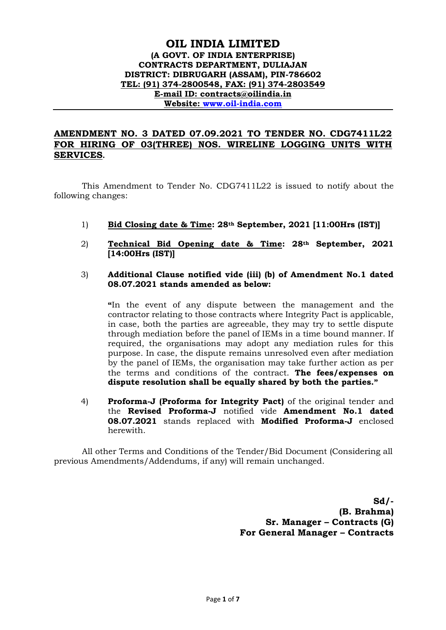# **OIL INDIA LIMITED (A GOVT. OF INDIA ENTERPRISE) CONTRACTS DEPARTMENT, DULIAJAN DISTRICT: DIBRUGARH (ASSAM), PIN-786602 TEL: (91) 374-2800548, FAX: (91) 374-2803549 E-mail ID: contracts@oilindia.in Website: [www.oil-india.com](http://www.oil-india.com/)**

# **AMENDMENT NO. 3 DATED 07.09.2021 TO TENDER NO. CDG7411L22 FOR HIRING OF 03(THREE) NOS. WIRELINE LOGGING UNITS WITH SERVICES.**

This Amendment to Tender No. CDG7411L22 is issued to notify about the following changes:

- 1) **Bid Closing date & Time: 28th September, 2021 [11:00Hrs (IST)]**
- 2) **Technical Bid Opening date & Time: 28th September, 2021 [14:00Hrs (IST)]**

#### 3) **Additional Clause notified vide (iii) (b) of Amendment No.1 dated 08.07.2021 stands amended as below:**

**"**In the event of any dispute between the management and the contractor relating to those contracts where Integrity Pact is applicable, in case, both the parties are agreeable, they may try to settle dispute through mediation before the panel of IEMs in a time bound manner. If required, the organisations may adopt any mediation rules for this purpose. In case, the dispute remains unresolved even after mediation by the panel of IEMs, the organisation may take further action as per the terms and conditions of the contract. **The fees/expenses on dispute resolution shall be equally shared by both the parties."**

4) **Proforma-J (Proforma for Integrity Pact)** of the original tender and the **Revised Proforma-J** notified vide **Amendment No.1 dated 08.07.2021** stands replaced with **Modified Proforma-J** enclosed herewith.

All other Terms and Conditions of the Tender/Bid Document (Considering all previous Amendments/Addendums, if any) will remain unchanged.

> **Sd/- (B. Brahma) Sr. Manager – Contracts (G) For General Manager – Contracts**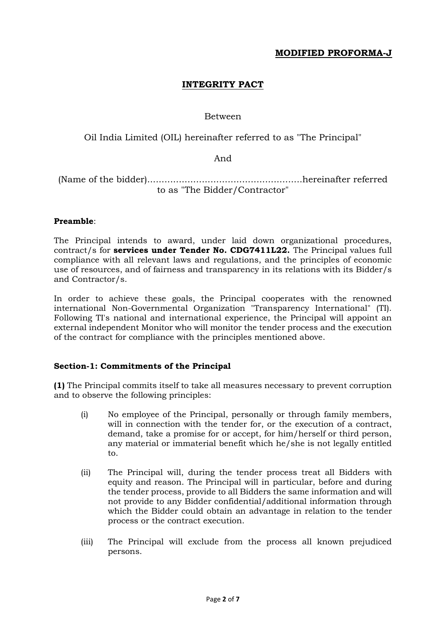# **INTEGRITY PACT**

# Between

Oil India Limited (OIL) hereinafter referred to as "The Principal"

#### And

(Name of the bidder)......................................................hereinafter referred to as "The Bidder/Contractor"

## **Preamble**:

The Principal intends to award, under laid down organizational procedures, contract/s for **services under Tender No. CDG7411L22.** The Principal values full compliance with all relevant laws and regulations, and the principles of economic use of resources, and of fairness and transparency in its relations with its Bidder/s and Contractor/s.

In order to achieve these goals, the Principal cooperates with the renowned international Non-Governmental Organization "Transparency International" (TI). Following TI's national and international experience, the Principal will appoint an external independent Monitor who will monitor the tender process and the execution of the contract for compliance with the principles mentioned above.

## **Section-1: Commitments of the Principal**

**(1)** The Principal commits itself to take all measures necessary to prevent corruption and to observe the following principles:

- (i) No employee of the Principal, personally or through family members, will in connection with the tender for, or the execution of a contract, demand, take a promise for or accept, for him/herself or third person, any material or immaterial benefit which he/she is not legally entitled to.
- (ii) The Principal will, during the tender process treat all Bidders with equity and reason. The Principal will in particular, before and during the tender process, provide to all Bidders the same information and will not provide to any Bidder confidential/additional information through which the Bidder could obtain an advantage in relation to the tender process or the contract execution.
- (iii) The Principal will exclude from the process all known prejudiced persons.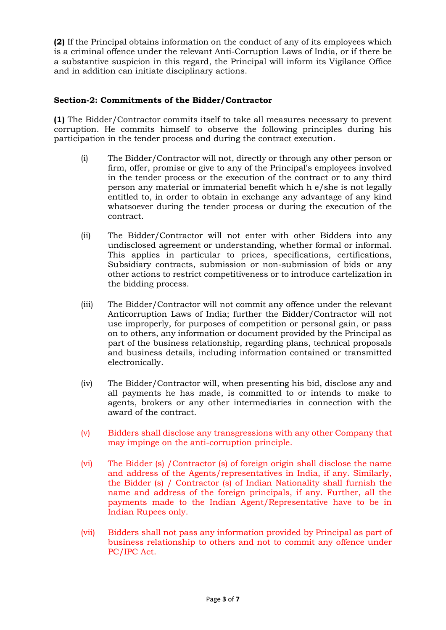**(2)** If the Principal obtains information on the conduct of any of its employees which is a criminal offence under the relevant Anti-Corruption Laws of India, or if there be a substantive suspicion in this regard, the Principal will inform its Vigilance Office and in addition can initiate disciplinary actions.

## **Section-2: Commitments of the Bidder/Contractor**

**(1)** The Bidder/Contractor commits itself to take all measures necessary to prevent corruption. He commits himself to observe the following principles during his participation in the tender process and during the contract execution.

- (i) The Bidder/Contractor will not, directly or through any other person or firm, offer, promise or give to any of the Principal's employees involved in the tender process or the execution of the contract or to any third person any material or immaterial benefit which h e/she is not legally entitled to, in order to obtain in exchange any advantage of any kind whatsoever during the tender process or during the execution of the contract.
- (ii) The Bidder/Contractor will not enter with other Bidders into any undisclosed agreement or understanding, whether formal or informal. This applies in particular to prices, specifications, certifications, Subsidiary contracts, submission or non-submission of bids or any other actions to restrict competitiveness or to introduce cartelization in the bidding process.
- (iii) The Bidder/Contractor will not commit any offence under the relevant Anticorruption Laws of India; further the Bidder/Contractor will not use improperly, for purposes of competition or personal gain, or pass on to others, any information or document provided by the Principal as part of the business relationship, regarding plans, technical proposals and business details, including information contained or transmitted electronically.
- (iv) The Bidder/Contractor will, when presenting his bid, disclose any and all payments he has made, is committed to or intends to make to agents, brokers or any other intermediaries in connection with the award of the contract.
- (v) Bidders shall disclose any transgressions with any other Company that may impinge on the anti-corruption principle.
- (vi) The Bidder (s) /Contractor (s) of foreign origin shall disclose the name and address of the Agents/representatives in India, if any. Similarly, the Bidder (s) / Contractor (s) of Indian Nationality shall furnish the name and address of the foreign principals, if any. Further, all the payments made to the Indian Agent/Representative have to be in Indian Rupees only.
- (vii) Bidders shall not pass any information provided by Principal as part of business relationship to others and not to commit any offence under PC/IPC Act.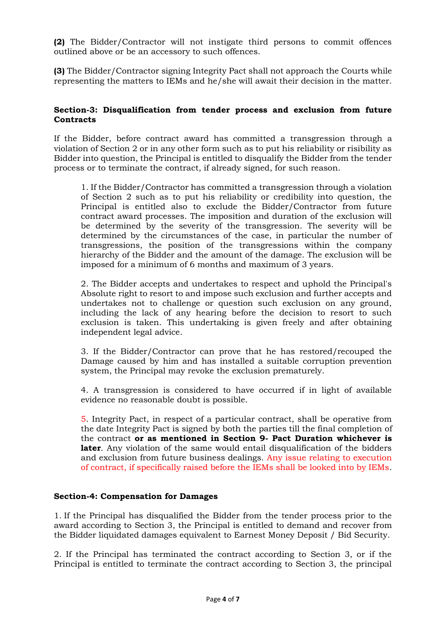**(2)** The Bidder/Contractor will not instigate third persons to commit offences outlined above or be an accessory to such offences.

**(3)** The Bidder/Contractor signing Integrity Pact shall not approach the Courts while representing the matters to IEMs and he/she will await their decision in the matter.

#### **Section-3: Disqualification from tender process and exclusion from future Contracts**

If the Bidder, before contract award has committed a transgression through a violation of Section 2 or in any other form such as to put his reliability or risibility as Bidder into question, the Principal is entitled to disqualify the Bidder from the tender process or to terminate the contract, if already signed, for such reason.

1. If the Bidder/Contractor has committed a transgression through a violation of Section 2 such as to put his reliability or credibility into question, the Principal is entitled also to exclude the Bidder/Contractor from future contract award processes. The imposition and duration of the exclusion will be determined by the severity of the transgression. The severity will be determined by the circumstances of the case, in particular the number of transgressions, the position of the transgressions within the company hierarchy of the Bidder and the amount of the damage. The exclusion will be imposed for a minimum of 6 months and maximum of 3 years.

2. The Bidder accepts and undertakes to respect and uphold the Principal's Absolute right to resort to and impose such exclusion and further accepts and undertakes not to challenge or question such exclusion on any ground, including the lack of any hearing before the decision to resort to such exclusion is taken. This undertaking is given freely and after obtaining independent legal advice.

3. If the Bidder/Contractor can prove that he has restored/recouped the Damage caused by him and has installed a suitable corruption prevention system, the Principal may revoke the exclusion prematurely.

4. A transgression is considered to have occurred if in light of available evidence no reasonable doubt is possible.

5. Integrity Pact, in respect of a particular contract, shall be operative from the date Integrity Pact is signed by both the parties till the final completion of the contract **or as mentioned in Section 9- Pact Duration whichever is later**. Any violation of the same would entail disqualification of the bidders and exclusion from future business dealings. Any issue relating to execution of contract, if specifically raised before the IEMs shall be looked into by IEMs.

## **Section-4: Compensation for Damages**

1. If the Principal has disqualified the Bidder from the tender process prior to the award according to Section 3, the Principal is entitled to demand and recover from the Bidder liquidated damages equivalent to Earnest Money Deposit / Bid Security.

2. If the Principal has terminated the contract according to Section 3, or if the Principal is entitled to terminate the contract according to Section 3, the principal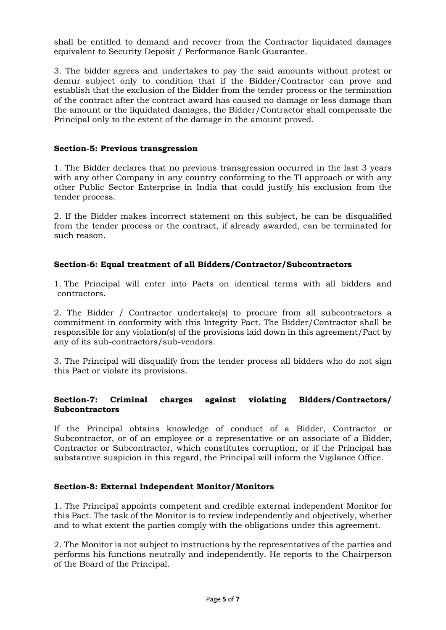shall be entitled to demand and recover from the Contractor liquidated damages equivalent to Security Deposit / Performance Bank Guarantee.

3. The bidder agrees and undertakes to pay the said amounts without protest or demur subject only to condition that if the Bidder/Contractor can prove and establish that the exclusion of the Bidder from the tender process or the termination of the contract after the contract award has caused no damage or less damage than the amount or the liquidated damages, the Bidder/Contractor shall compensate the Principal only to the extent of the damage in the amount proved.

#### **Section-5: Previous transgression**

1. The Bidder declares that no previous transgression occurred in the last 3 years with any other Company in any country conforming to the TI approach or with any other Public Sector Enterprise in India that could justify his exclusion from the tender process.

2. If the Bidder makes incorrect statement on this subject, he can be disqualified from the tender process or the contract, if already awarded, can be terminated for such reason.

## **Section-6: Equal treatment of all Bidders/Contractor/Subcontractors**

1. The Principal will enter into Pacts on identical terms with all bidders and contractors.

2. The Bidder / Contractor undertake(s) to procure from all subcontractors a commitment in conformity with this Integrity Pact. The Bidder/Contractor shall be responsible for any violation(s) of the provisions laid down in this agreement/Pact by any of its sub-contractors/sub-vendors.

3. The Principal will disqualify from the tender process all bidders who do not sign this Pact or violate its provisions.

## **Section-7: Criminal charges against violating Bidders/Contractors/ Subcontractors**

If the Principal obtains knowledge of conduct of a Bidder, Contractor or Subcontractor, or of an employee or a representative or an associate of a Bidder, Contractor or Subcontractor, which constitutes corruption, or if the Principal has substantive suspicion in this regard, the Principal will inform the Vigilance Office.

#### **Section-8: External Independent Monitor/Monitors**

1. The Principal appoints competent and credible external independent Monitor for this Pact. The task of the Monitor is to review independently and objectively, whether and to what extent the parties comply with the obligations under this agreement.

2. The Monitor is not subject to instructions by the representatives of the parties and performs his functions neutrally and independently. He reports to the Chairperson of the Board of the Principal.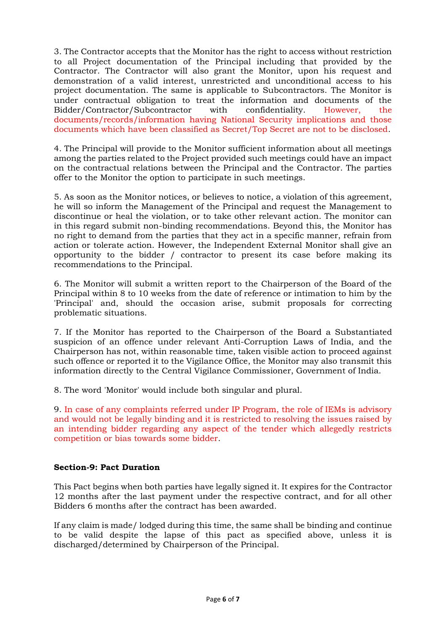3. The Contractor accepts that the Monitor has the right to access without restriction to all Project documentation of the Principal including that provided by the Contractor. The Contractor will also grant the Monitor, upon his request and demonstration of a valid interest, unrestricted and unconditional access to his project documentation. The same is applicable to Subcontractors. The Monitor is under contractual obligation to treat the information and documents of the Bidder/Contractor/Subcontractor with confidentiality. However, the documents/records/information having National Security implications and those documents which have been classified as Secret/Top Secret are not to be disclosed.

4. The Principal will provide to the Monitor sufficient information about all meetings among the parties related to the Project provided such meetings could have an impact on the contractual relations between the Principal and the Contractor. The parties offer to the Monitor the option to participate in such meetings.

5. As soon as the Monitor notices, or believes to notice, a violation of this agreement, he will so inform the Management of the Principal and request the Management to discontinue or heal the violation, or to take other relevant action. The monitor can in this regard submit non-binding recommendations. Beyond this, the Monitor has no right to demand from the parties that they act in a specific manner, refrain from action or tolerate action. However, the Independent External Monitor shall give an opportunity to the bidder / contractor to present its case before making its recommendations to the Principal.

6. The Monitor will submit a written report to the Chairperson of the Board of the Principal within 8 to 10 weeks from the date of reference or intimation to him by the 'Principal' and, should the occasion arise, submit proposals for correcting problematic situations.

7. If the Monitor has reported to the Chairperson of the Board a Substantiated suspicion of an offence under relevant Anti-Corruption Laws of India, and the Chairperson has not, within reasonable time, taken visible action to proceed against such offence or reported it to the Vigilance Office, the Monitor may also transmit this information directly to the Central Vigilance Commissioner, Government of India.

8. The word 'Monitor' would include both singular and plural.

9. In case of any complaints referred under IP Program, the role of IEMs is advisory and would not be legally binding and it is restricted to resolving the issues raised by an intending bidder regarding any aspect of the tender which allegedly restricts competition or bias towards some bidder.

## **Section-9: Pact Duration**

This Pact begins when both parties have legally signed it. It expires for the Contractor 12 months after the last payment under the respective contract, and for all other Bidders 6 months after the contract has been awarded.

If any claim is made/ lodged during this time, the same shall be binding and continue to be valid despite the lapse of this pact as specified above, unless it is discharged/determined by Chairperson of the Principal.